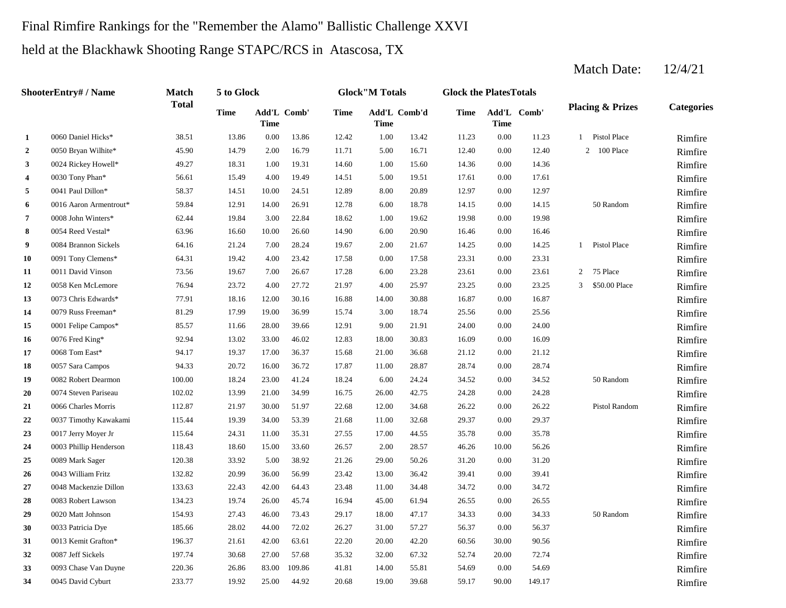# Final Rimfire Rankings for the "Remember the Alamo" Ballistic Challenge XXVI

held at the Blackhawk Shooting Range STAPC/RCS in Atascosa, TX

|                | ShooterEntry# / Name   | <b>Match</b> | 5 to Glock |             |             |             | <b>Glock</b> "M Totals |              | <b>Glock the PlatesTotals</b> |       |             |                |                             |                   |
|----------------|------------------------|--------------|------------|-------------|-------------|-------------|------------------------|--------------|-------------------------------|-------|-------------|----------------|-----------------------------|-------------------|
|                |                        | <b>Total</b> | Time       | <b>Time</b> | Add'L Comb' | <b>Time</b> | <b>Time</b>            | Add'L Comb'd | Time                          | Time  | Add'L Comb' |                | <b>Placing &amp; Prizes</b> | <b>Categories</b> |
| 1              | 0060 Daniel Hicks*     | 38.51        | 13.86      | 0.00        | 13.86       | 12.42       | 1.00                   | 13.42        | 11.23                         | 0.00  | 11.23       | -1             | Pistol Place                | Rimfire           |
| $\overline{2}$ | 0050 Bryan Wilhite*    | 45.90        | 14.79      | 2.00        | 16.79       | 11.71       | 5.00                   | 16.71        | 12.40                         | 0.00  | 12.40       |                | 2 100 Place                 | Rimfire           |
| 3              | 0024 Rickey Howell*    | 49.27        | 18.31      | 1.00        | 19.31       | 14.60       | 1.00                   | 15.60        | 14.36                         | 0.00  | 14.36       |                |                             | Rimfire           |
| 4              | 0030 Tony Phan*        | 56.61        | 15.49      | 4.00        | 19.49       | 14.51       | 5.00                   | 19.51        | 17.61                         | 0.00  | 17.61       |                |                             | Rimfire           |
| 5              | 0041 Paul Dillon*      | 58.37        | 14.51      | 10.00       | 24.51       | 12.89       | 8.00                   | 20.89        | 12.97                         | 0.00  | 12.97       |                |                             | Rimfire           |
| 6              | 0016 Aaron Armentrout* | 59.84        | 12.91      | 14.00       | 26.91       | 12.78       | 6.00                   | 18.78        | 14.15                         | 0.00  | 14.15       |                | 50 Random                   | Rimfire           |
| 7              | 0008 John Winters*     | 62.44        | 19.84      | 3.00        | 22.84       | 18.62       | 1.00                   | 19.62        | 19.98                         | 0.00  | 19.98       |                |                             | Rimfire           |
| 8              | 0054 Reed Vestal*      | 63.96        | 16.60      | 10.00       | 26.60       | 14.90       | 6.00                   | 20.90        | 16.46                         | 0.00  | 16.46       |                |                             | Rimfire           |
| 9              | 0084 Brannon Sickels   | 64.16        | 21.24      | 7.00        | 28.24       | 19.67       | 2.00                   | 21.67        | 14.25                         | 0.00  | 14.25       | $\mathbf{1}$   | Pistol Place                | Rimfire           |
| 10             | 0091 Tony Clemens*     | 64.31        | 19.42      | 4.00        | 23.42       | 17.58       | 0.00                   | 17.58        | 23.31                         | 0.00  | 23.31       |                |                             | Rimfire           |
| 11             | 0011 David Vinson      | 73.56        | 19.67      | 7.00        | 26.67       | 17.28       | 6.00                   | 23.28        | 23.61                         | 0.00  | 23.61       | $\overline{2}$ | 75 Place                    | Rimfire           |
| 12             | 0058 Ken McLemore      | 76.94        | 23.72      | 4.00        | 27.72       | 21.97       | 4.00                   | 25.97        | 23.25                         | 0.00  | 23.25       | 3              | \$50.00 Place               | Rimfire           |
| 13             | 0073 Chris Edwards*    | 77.91        | 18.16      | 12.00       | 30.16       | 16.88       | 14.00                  | 30.88        | 16.87                         | 0.00  | 16.87       |                |                             | Rimfire           |
| 14             | 0079 Russ Freeman*     | 81.29        | 17.99      | 19.00       | 36.99       | 15.74       | 3.00                   | 18.74        | 25.56                         | 0.00  | 25.56       |                |                             | Rimfire           |
| 15             | 0001 Felipe Campos*    | 85.57        | 11.66      | 28.00       | 39.66       | 12.91       | 9.00                   | 21.91        | 24.00                         | 0.00  | 24.00       |                |                             | Rimfire           |
| 16             | 0076 Fred King*        | 92.94        | 13.02      | 33.00       | 46.02       | 12.83       | 18.00                  | 30.83        | 16.09                         | 0.00  | 16.09       |                |                             | Rimfire           |
| 17             | 0068 Tom East*         | 94.17        | 19.37      | 17.00       | 36.37       | 15.68       | 21.00                  | 36.68        | 21.12                         | 0.00  | 21.12       |                |                             | Rimfire           |
| 18             | 0057 Sara Campos       | 94.33        | 20.72      | 16.00       | 36.72       | 17.87       | 11.00                  | 28.87        | 28.74                         | 0.00  | 28.74       |                |                             | Rimfire           |
| 19             | 0082 Robert Dearmon    | 100.00       | 18.24      | 23.00       | 41.24       | 18.24       | 6.00                   | 24.24        | 34.52                         | 0.00  | 34.52       |                | 50 Random                   | Rimfire           |
| 20             | 0074 Steven Pariseau   | 102.02       | 13.99      | 21.00       | 34.99       | 16.75       | 26.00                  | 42.75        | 24.28                         | 0.00  | 24.28       |                |                             | Rimfire           |
| 21             | 0066 Charles Morris    | 112.87       | 21.97      | 30.00       | 51.97       | 22.68       | 12.00                  | 34.68        | 26.22                         | 0.00  | 26.22       |                | Pistol Random               | Rimfire           |
| 22             | 0037 Timothy Kawakami  | 115.44       | 19.39      | 34.00       | 53.39       | 21.68       | 11.00                  | 32.68        | 29.37                         | 0.00  | 29.37       |                |                             | Rimfire           |
| 23             | 0017 Jerry Moyer Jr    | 115.64       | 24.31      | 11.00       | 35.31       | 27.55       | 17.00                  | 44.55        | 35.78                         | 0.00  | 35.78       |                |                             | Rimfire           |
| 24             | 0003 Phillip Henderson | 118.43       | 18.60      | 15.00       | 33.60       | 26.57       | 2.00                   | 28.57        | 46.26                         | 10.00 | 56.26       |                |                             | Rimfire           |
| 25             | 0089 Mark Sager        | 120.38       | 33.92      | 5.00        | 38.92       | 21.26       | 29.00                  | 50.26        | 31.20                         | 0.00  | 31.20       |                |                             | Rimfire           |
| 26             | 0043 William Fritz     | 132.82       | 20.99      | 36.00       | 56.99       | 23.42       | 13.00                  | 36.42        | 39.41                         | 0.00  | 39.41       |                |                             | Rimfire           |
| 27             | 0048 Mackenzie Dillon  | 133.63       | 22.43      | 42.00       | 64.43       | 23.48       | 11.00                  | 34.48        | 34.72                         | 0.00  | 34.72       |                |                             | Rimfire           |
| 28             | 0083 Robert Lawson     | 134.23       | 19.74      | 26.00       | 45.74       | 16.94       | 45.00                  | 61.94        | 26.55                         | 0.00  | 26.55       |                |                             | Rimfire           |
| 29             | 0020 Matt Johnson      | 154.93       | 27.43      | 46.00       | 73.43       | 29.17       | 18.00                  | 47.17        | 34.33                         | 0.00  | 34.33       |                | 50 Random                   | Rimfire           |
| 30             | 0033 Patricia Dye      | 185.66       | 28.02      | 44.00       | 72.02       | 26.27       | 31.00                  | 57.27        | 56.37                         | 0.00  | 56.37       |                |                             | Rimfire           |
| 31             | 0013 Kemit Grafton*    | 196.37       | 21.61      | 42.00       | 63.61       | 22.20       | 20.00                  | 42.20        | 60.56                         | 30.00 | 90.56       |                |                             | Rimfire           |
| 32             | 0087 Jeff Sickels      | 197.74       | 30.68      | 27.00       | 57.68       | 35.32       | 32.00                  | 67.32        | 52.74                         | 20.00 | 72.74       |                |                             | Rimfire           |
| 33             | 0093 Chase Van Duyne   | 220.36       | 26.86      | 83.00       | 109.86      | 41.81       | 14.00                  | 55.81        | 54.69                         | 0.00  | 54.69       |                |                             | Rimfire           |
| 34             | 0045 David Cyburt      | 233.77       | 19.92      | 25.00       | 44.92       | 20.68       | 19.00                  | 39.68        | 59.17                         | 90.00 | 149.17      |                |                             | Rimfire           |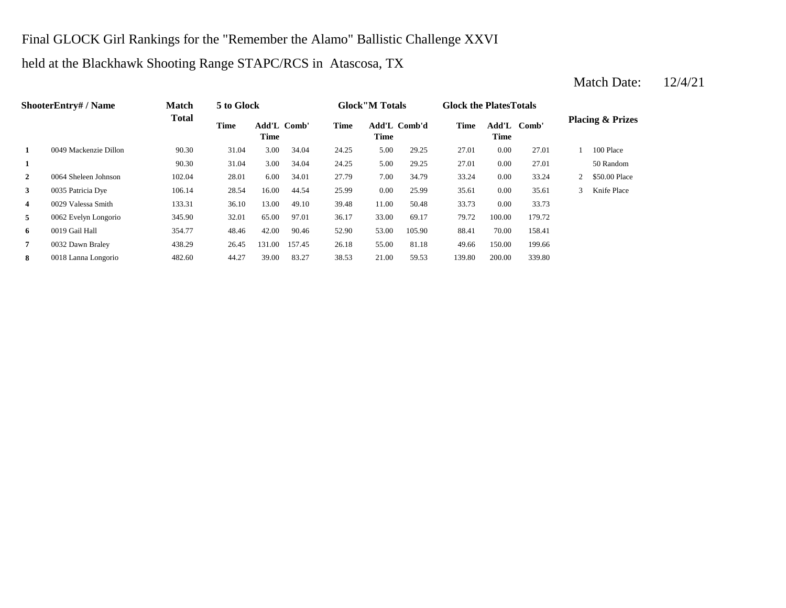## Final GLOCK Girl Rankings for the "Remember the Alamo" Ballistic Challenge XXVI

#### held at the Blackhawk Shooting Range STAPC/RCS in Atascosa, TX

#### **1** 5.00 29.25 27.01 90.30 31.04 3.00 34.04 24.25 5.00 29.25 27.01 **2** 7.00 33.24 0064 Sheleen Johnson 102.04 28.01 6.00 34.01 27.79 34.79 0.00 33.24 2 \$50.00 Place **3** 0.00 35 Patricia Dye 106.14 28.54 16.00 44.54 25.99 0.00 25.99 35.61 **4** 0029 Valessa Smith 133.31 36.10 13.00 49.10 39.48 11.00 50.48 33.73 0.00 33.73 **5** 33.00 69.17 100.00 179.72 100.00 5345.90 32.01 65.00 97.01 36.17 33.00 69.17 79.72 100.00 179.72 **6** 0019 Gail Hall **6** 354.77 48.46 42.00 90.46 52.90 53.00 105.90 88.41 **7** 0032 Dawn Braley 438.29 26.45 131.00 157.45 26.18 55.00 81.18 49.66 150.00 199.66 **8** 20018 Lanna Longorio 482.60 44.27 39.00 83.27 38.53 21.00 59.53 139.80 200.00 339.80 **ShooterEntry# / Name Match Total 5 to Glock Time Glock"M Totals Glock the PlatesTotals Placing & Prizes Time Add'L Comb'd Time Add'L Comb' Time** Add'L Comb' **Time Add'L Time Time 1** 0049 Mackenzie Dillon 90.30 31.04 3.00 34.04 24.25 5.00 29.25 27.01 0.00 27.01 1 100 Place 90.30 31.04 3.00 34.04 24.25 5.00 29.25 27.01 0.00 27.01 50 Random 0035 Patricia Dye 106.14 28.54 16.00 44.54 25.99 0.00 25.99 35.61 0.00 35.61 3 Knife Place 0019 Gail Hall 354.77 48.46 42.00 90.46 52.90 105.90 70.00 158.41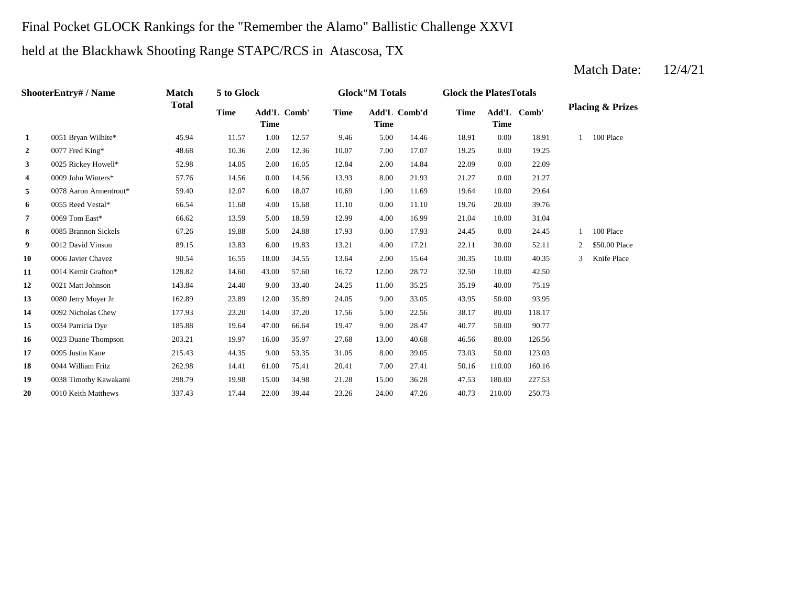# Final Pocket GLOCK Rankings for the "Remember the Alamo" Ballistic Challenge XXVI

held at the Blackhawk Shooting Range STAPC/RCS in Atascosa, TX

|                | ShooterEntry# / Name   | <b>Match</b> | 5 to Glock  |                            |       |       | <b>Glock</b> "M Totals      |       | <b>Glock the PlatesTotals</b> |             |             |   |                             |
|----------------|------------------------|--------------|-------------|----------------------------|-------|-------|-----------------------------|-------|-------------------------------|-------------|-------------|---|-----------------------------|
|                |                        | <b>Total</b> | <b>Time</b> | Add'L Comb'<br><b>Time</b> |       | Time  | Add'L Comb'd<br><b>Time</b> |       | <b>Time</b>                   | <b>Time</b> | Add'L Comb' |   | <b>Placing &amp; Prizes</b> |
| 1              | 0051 Bryan Wilhite*    | 45.94        | 11.57       | 1.00                       | 12.57 | 9.46  | 5.00                        | 14.46 | 18.91                         | 0.00        | 18.91       |   | 100 Place                   |
| $\mathbf{2}$   | 0077 Fred King*        | 48.68        | 10.36       | 2.00                       | 12.36 | 10.07 | 7.00                        | 17.07 | 19.25                         | 0.00        | 19.25       |   |                             |
| 3 <sup>1</sup> | 0025 Rickey Howell*    | 52.98        | 14.05       | 2.00                       | 16.05 | 12.84 | 2.00                        | 14.84 | 22.09                         | 0.00        | 22.09       |   |                             |
| 4              | 0009 John Winters*     | 57.76        | 14.56       | 0.00                       | 14.56 | 13.93 | 8.00                        | 21.93 | 21.27                         | 0.00        | 21.27       |   |                             |
| 5              | 0078 Aaron Armentrout* | 59.40        | 12.07       | 6.00                       | 18.07 | 10.69 | 1.00                        | 11.69 | 19.64                         | 10.00       | 29.64       |   |                             |
| 6              | 0055 Reed Vestal*      | 66.54        | 11.68       | 4.00                       | 15.68 | 11.10 | 0.00                        | 11.10 | 19.76                         | 20.00       | 39.76       |   |                             |
| 7              | 0069 Tom East*         | 66.62        | 13.59       | 5.00                       | 18.59 | 12.99 | 4.00                        | 16.99 | 21.04                         | 10.00       | 31.04       |   |                             |
| 8              | 0085 Brannon Sickels   | 67.26        | 19.88       | 5.00                       | 24.88 | 17.93 | 0.00                        | 17.93 | 24.45                         | 0.00        | 24.45       |   | 100 Place                   |
| 9              | 0012 David Vinson      | 89.15        | 13.83       | 6.00                       | 19.83 | 13.21 | 4.00                        | 17.21 | 22.11                         | 30.00       | 52.11       | 2 | \$50.00 Place               |
| 10             | 0006 Javier Chavez     | 90.54        | 16.55       | 18.00                      | 34.55 | 13.64 | 2.00                        | 15.64 | 30.35                         | 10.00       | 40.35       | 3 | Knife Place                 |
| 11             | 0014 Kemit Grafton*    | 128.82       | 14.60       | 43.00                      | 57.60 | 16.72 | 12.00                       | 28.72 | 32.50                         | 10.00       | 42.50       |   |                             |
| 12             | 0021 Matt Johnson      | 143.84       | 24.40       | 9.00                       | 33.40 | 24.25 | 11.00                       | 35.25 | 35.19                         | 40.00       | 75.19       |   |                             |
| 13             | 0080 Jerry Moyer Jr    | 162.89       | 23.89       | 12.00                      | 35.89 | 24.05 | 9.00                        | 33.05 | 43.95                         | 50.00       | 93.95       |   |                             |
| 14             | 0092 Nicholas Chew     | 177.93       | 23.20       | 14.00                      | 37.20 | 17.56 | 5.00                        | 22.56 | 38.17                         | 80.00       | 118.17      |   |                             |
| 15             | 0034 Patricia Dye      | 185.88       | 19.64       | 47.00                      | 66.64 | 19.47 | 9.00                        | 28.47 | 40.77                         | 50.00       | 90.77       |   |                             |
| 16             | 0023 Duane Thompson    | 203.21       | 19.97       | 16.00                      | 35.97 | 27.68 | 13.00                       | 40.68 | 46.56                         | 80.00       | 126.56      |   |                             |
| 17             | 0095 Justin Kane       | 215.43       | 44.35       | 9.00                       | 53.35 | 31.05 | 8.00                        | 39.05 | 73.03                         | 50.00       | 123.03      |   |                             |
| 18             | 0044 William Fritz     | 262.98       | 14.41       | 61.00                      | 75.41 | 20.41 | 7.00                        | 27.41 | 50.16                         | 110.00      | 160.16      |   |                             |
| 19             | 0038 Timothy Kawakami  | 298.79       | 19.98       | 15.00                      | 34.98 | 21.28 | 15.00                       | 36.28 | 47.53                         | 180.00      | 227.53      |   |                             |
| 20             | 0010 Keith Matthews    | 337.43       | 17.44       | 22.00                      | 39.44 | 23.26 | 24.00                       | 47.26 | 40.73                         | 210.00      | 250.73      |   |                             |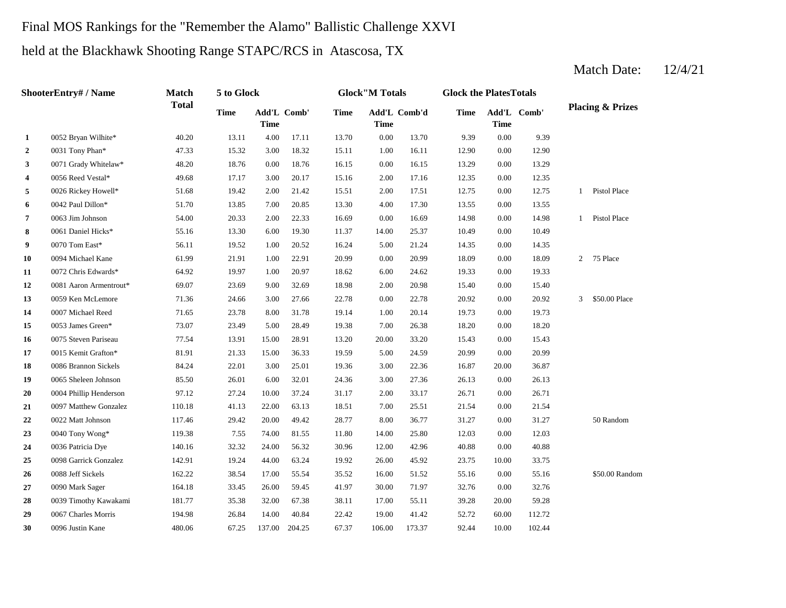# Final MOS Rankings for the "Remember the Alamo" Ballistic Challenge XXVI

held at the Blackhawk Shooting Range STAPC/RCS in Atascosa, TX

|                | ShooterEntry# / Name   | <b>Match</b> | 5 to Glock  |             |             |             | <b>Glock</b> "M Totals |              | <b>Glock the PlatesTotals</b> |             |             |              |                             |
|----------------|------------------------|--------------|-------------|-------------|-------------|-------------|------------------------|--------------|-------------------------------|-------------|-------------|--------------|-----------------------------|
|                |                        | <b>Total</b> | <b>Time</b> | <b>Time</b> | Add'L Comb' | <b>Time</b> | <b>Time</b>            | Add'L Comb'd | <b>Time</b>                   | <b>Time</b> | Add'L Comb' |              | <b>Placing &amp; Prizes</b> |
| 1              | 0052 Bryan Wilhite*    | 40.20        | 13.11       | 4.00        | 17.11       | 13.70       | 0.00                   | 13.70        | 9.39                          | 0.00        | 9.39        |              |                             |
| $\overline{2}$ | 0031 Tony Phan*        | 47.33        | 15.32       | 3.00        | 18.32       | 15.11       | 1.00                   | 16.11        | 12.90                         | 0.00        | 12.90       |              |                             |
| 3              | 0071 Grady Whitelaw*   | 48.20        | 18.76       | 0.00        | 18.76       | 16.15       | 0.00                   | 16.15        | 13.29                         | 0.00        | 13.29       |              |                             |
| 4              | 0056 Reed Vestal*      | 49.68        | 17.17       | 3.00        | 20.17       | 15.16       | 2.00                   | 17.16        | 12.35                         | 0.00        | 12.35       |              |                             |
| 5              | 0026 Rickey Howell*    | 51.68        | 19.42       | 2.00        | 21.42       | 15.51       | 2.00                   | 17.51        | 12.75                         | 0.00        | 12.75       |              | 1 Pistol Place              |
| 6              | 0042 Paul Dillon*      | 51.70        | 13.85       | 7.00        | 20.85       | 13.30       | 4.00                   | 17.30        | 13.55                         | 0.00        | 13.55       |              |                             |
| $\overline{7}$ | 0063 Jim Johnson       | 54.00        | 20.33       | 2.00        | 22.33       | 16.69       | 0.00                   | 16.69        | 14.98                         | 0.00        | 14.98       | $\mathbf{1}$ | Pistol Place                |
| 8              | 0061 Daniel Hicks*     | 55.16        | 13.30       | 6.00        | 19.30       | 11.37       | 14.00                  | 25.37        | 10.49                         | 0.00        | 10.49       |              |                             |
| 9              | 0070 Tom East*         | 56.11        | 19.52       | 1.00        | 20.52       | 16.24       | 5.00                   | 21.24        | 14.35                         | 0.00        | 14.35       |              |                             |
| 10             | 0094 Michael Kane      | 61.99        | 21.91       | 1.00        | 22.91       | 20.99       | 0.00                   | 20.99        | 18.09                         | 0.00        | 18.09       | 2            | 75 Place                    |
| 11             | 0072 Chris Edwards*    | 64.92        | 19.97       | 1.00        | 20.97       | 18.62       | 6.00                   | 24.62        | 19.33                         | 0.00        | 19.33       |              |                             |
| 12             | 0081 Aaron Armentrout* | 69.07        | 23.69       | 9.00        | 32.69       | 18.98       | 2.00                   | 20.98        | 15.40                         | 0.00        | 15.40       |              |                             |
| 13             | 0059 Ken McLemore      | 71.36        | 24.66       | 3.00        | 27.66       | 22.78       | 0.00                   | 22.78        | 20.92                         | 0.00        | 20.92       |              | 3 \$50.00 Place             |
| 14             | 0007 Michael Reed      | 71.65        | 23.78       | 8.00        | 31.78       | 19.14       | 1.00                   | 20.14        | 19.73                         | 0.00        | 19.73       |              |                             |
| 15             | 0053 James Green*      | 73.07        | 23.49       | 5.00        | 28.49       | 19.38       | 7.00                   | 26.38        | 18.20                         | 0.00        | 18.20       |              |                             |
| 16             | 0075 Steven Pariseau   | 77.54        | 13.91       | 15.00       | 28.91       | 13.20       | 20.00                  | 33.20        | 15.43                         | 0.00        | 15.43       |              |                             |
| 17             | 0015 Kemit Grafton*    | 81.91        | 21.33       | 15.00       | 36.33       | 19.59       | 5.00                   | 24.59        | 20.99                         | 0.00        | 20.99       |              |                             |
| 18             | 0086 Brannon Sickels   | 84.24        | 22.01       | 3.00        | 25.01       | 19.36       | 3.00                   | 22.36        | 16.87                         | 20.00       | 36.87       |              |                             |
| 19             | 0065 Sheleen Johnson   | 85.50        | 26.01       | 6.00        | 32.01       | 24.36       | 3.00                   | 27.36        | 26.13                         | 0.00        | 26.13       |              |                             |
| 20             | 0004 Phillip Henderson | 97.12        | 27.24       | 10.00       | 37.24       | 31.17       | 2.00                   | 33.17        | 26.71                         | 0.00        | 26.71       |              |                             |
| 21             | 0097 Matthew Gonzalez  | 110.18       | 41.13       | 22.00       | 63.13       | 18.51       | 7.00                   | 25.51        | 21.54                         | 0.00        | 21.54       |              |                             |
| 22             | 0022 Matt Johnson      | 117.46       | 29.42       | 20.00       | 49.42       | 28.77       | 8.00                   | 36.77        | 31.27                         | 0.00        | 31.27       |              | 50 Random                   |
| 23             | 0040 Tony Wong*        | 119.38       | 7.55        | 74.00       | 81.55       | 11.80       | 14.00                  | 25.80        | 12.03                         | 0.00        | 12.03       |              |                             |
| 24             | 0036 Patricia Dye      | 140.16       | 32.32       | 24.00       | 56.32       | 30.96       | 12.00                  | 42.96        | 40.88                         | 0.00        | 40.88       |              |                             |
| 25             | 0098 Garrick Gonzalez  | 142.91       | 19.24       | 44.00       | 63.24       | 19.92       | 26.00                  | 45.92        | 23.75                         | 10.00       | 33.75       |              |                             |
| 26             | 0088 Jeff Sickels      | 162.22       | 38.54       | 17.00       | 55.54       | 35.52       | 16.00                  | 51.52        | 55.16                         | 0.00        | 55.16       |              | \$50.00 Random              |
| 27             | 0090 Mark Sager        | 164.18       | 33.45       | 26.00       | 59.45       | 41.97       | 30.00                  | 71.97        | 32.76                         | 0.00        | 32.76       |              |                             |
| 28             | 0039 Timothy Kawakami  | 181.77       | 35.38       | 32.00       | 67.38       | 38.11       | 17.00                  | 55.11        | 39.28                         | 20.00       | 59.28       |              |                             |
| 29             | 0067 Charles Morris    | 194.98       | 26.84       | 14.00       | 40.84       | 22.42       | 19.00                  | 41.42        | 52.72                         | 60.00       | 112.72      |              |                             |
| 30             | 0096 Justin Kane       | 480.06       | 67.25       | 137.00      | 204.25      | 67.37       | 106.00                 | 173.37       | 92.44                         | 10.00       | 102.44      |              |                             |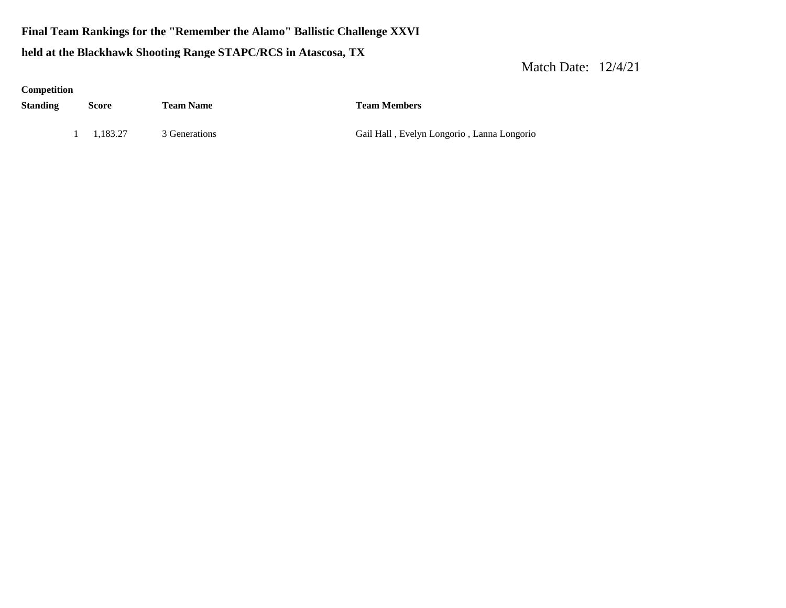# **Final Team Rankings for the "Remember the Alamo" Ballistic Challenge XXVI held at the Blackhawk Shooting Range STAPC/RCS in Atascosa, TX**

| Competition     |          |                  |                                            |
|-----------------|----------|------------------|--------------------------------------------|
| <b>Standing</b> | Score    | <b>Team Name</b> | <b>Team Members</b>                        |
|                 | 1.183.27 | 3 Generations    | Gail Hall, Evelyn Longorio, Lanna Longorio |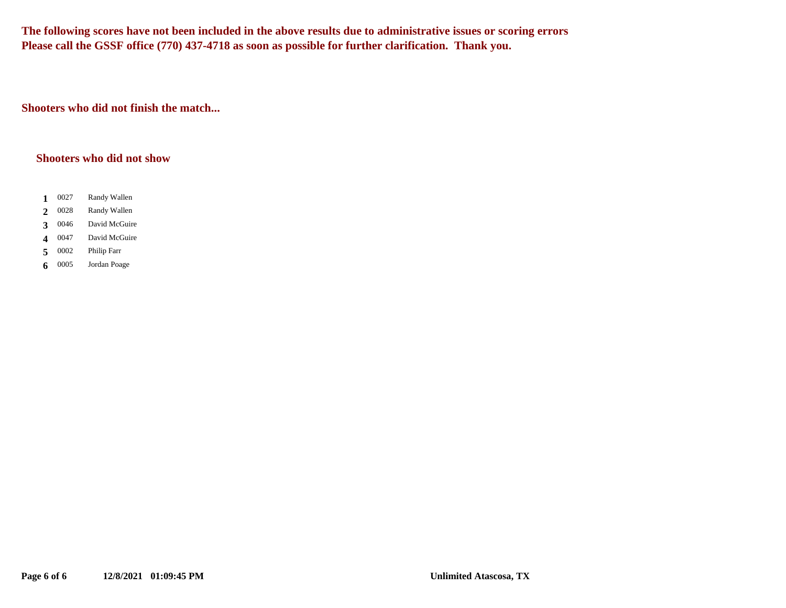**The following scores have not been included in the above results due to administrative issues or scoring errors Please call the GSSF office (770) 437-4718 as soon as possible for further clarification. Thank you.**

**Shooters who did not finish the match...**

#### **Shooters who did not show**

- $1 \t0027$ **1** Randy Wallen
- 0028 2 0028 Randy Wallen
- 3 0046 **3** David McGuire
- 4 0047 **4** David McGuire
- 0002 5 0002 Philip Farr
- 0005 **6** Jordan Poage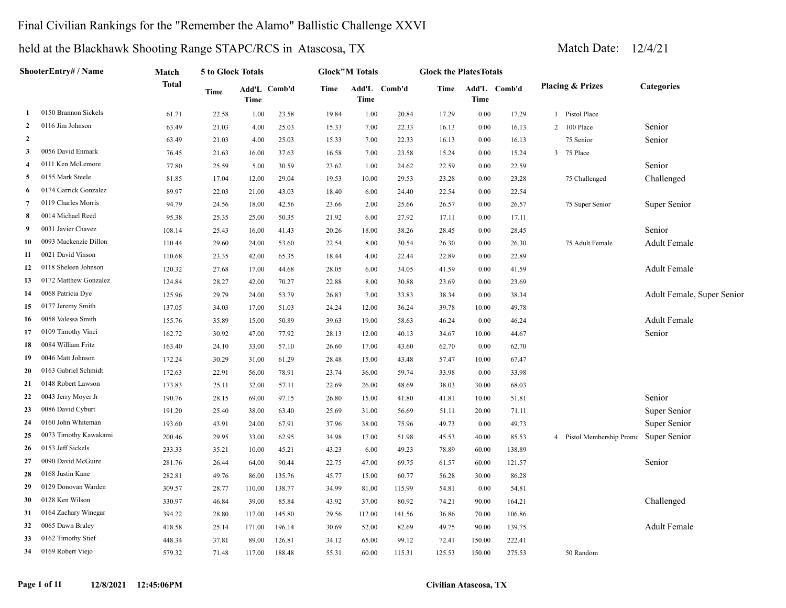## Final Civilian Rankings for the "Remember the Alamo" Ballistic Challenge XXVI

|                | ShooterEntry# / Name  | Match        | 5 to Glock Totals |             |              |       | <b>Glock"M Totals</b> |              | <b>Glock the PlatesTotals</b> |        |              |              |                             |                            |
|----------------|-----------------------|--------------|-------------------|-------------|--------------|-------|-----------------------|--------------|-------------------------------|--------|--------------|--------------|-----------------------------|----------------------------|
|                |                       | <b>Total</b> | Time              | <b>Time</b> | Add'L Comb'd | Time  | Time                  | Add'L Comb'd | Time                          | Time   | Add'L Comb'd |              | <b>Placing &amp; Prizes</b> | <b>Categories</b>          |
|                | 0150 Brannon Sickels  | 61.71        | 22.58             | 1.00        | 23.58        | 19.84 | 1.00                  | 20.84        | 17.29                         | 0.00   | 17.29        | $\mathbf{1}$ | Pistol Place                |                            |
| 2              | 0116 Jim Johnson      | 63.49        | 21.03             | 4.00        | 25.03        | 15.33 | 7.00                  | 22.33        | 16.13                         | 0.00   | 16.13        | 2            | 100 Place                   | Senior                     |
| $\overline{2}$ |                       | 63.49        | 21.03             | 4.00        | 25.03        | 15.33 | 7.00                  | 22.33        | 16.13                         | 0.00   | 16.13        |              | 75 Senior                   | Senior                     |
| 3              | 0056 David Enmark     | 76.45        | 21.63             | 16.00       | 37.63        | 16.58 | 7.00                  | 23.58        | 15.24                         | 0.00   | 15.24        | 3            | 75 Place                    |                            |
| 4              | 0111 Ken McLemore     | 77.80        | 25.59             | 5.00        | 30.59        | 23.62 | 1.00                  | 24.62        | 22.59                         | 0.00   | 22.59        |              |                             | Senior                     |
| 5              | 0155 Mark Steele      | 81.85        | 17.04             | 12.00       | 29.04        | 19.53 | 10.00                 | 29.53        | 23.28                         | 0.00   | 23.28        |              | 75 Challenged               | Challenged                 |
| 6              | 0174 Garrick Gonzalez | 89.97        | 22.03             | 21.00       | 43.03        | 18.40 | 6.00                  | 24.40        | 22.54                         | 0.00   | 22.54        |              |                             |                            |
| 7              | 0119 Charles Morris   | 94.79        | 24.56             | 18.00       | 42.56        | 23.66 | 2.00                  | 25.66        | 26.57                         | 0.00   | 26.57        |              | 75 Super Senior             | Super Senior               |
| 8              | 0014 Michael Reed     | 95.38        | 25.35             | 25.00       | 50.35        | 21.92 | 6.00                  | 27.92        | 17.11                         | 0.00   | 17.11        |              |                             |                            |
| 9              | 0031 Javier Chavez    | 108.14       | 25.43             | 16.00       | 41.43        | 20.26 | 18.00                 | 38.26        | 28.45                         | 0.00   | 28.45        |              |                             | Senior                     |
| 10             | 0093 Mackenzie Dillon | 110.44       | 29.60             | 24.00       | 53.60        | 22.54 | 8.00                  | 30.54        | 26.30                         | 0.00   | 26.30        |              | 75 Adult Female             | <b>Adult Female</b>        |
| 11             | 0021 David Vinson     | 110.68       | 23.35             | 42.00       | 65.35        | 18.44 | 4.00                  | 22.44        | 22.89                         | 0.00   | 22.89        |              |                             |                            |
| 12             | 0118 Sheleen Johnson  | 120.32       | 27.68             | 17.00       | 44.68        | 28.05 | 6.00                  | 34.05        | 41.59                         | 0.00   | 41.59        |              |                             | Adult Female               |
| 13             | 0172 Matthew Gonzalez | 124.84       | 28.27             | 42.00       | 70.27        | 22.88 | 8.00                  | 30.88        | 23.69                         | 0.00   | 23.69        |              |                             |                            |
| 14             | 0068 Patricia Dye     | 125.96       | 29.79             | 24.00       | 53.79        | 26.83 | 7.00                  | 33.83        | 38.34                         | 0.00   | 38.34        |              |                             | Adult Female, Super Senior |
| 15             | 0177 Jeremy Smith     | 137.05       | 34.03             | 17.00       | 51.03        | 24.24 | 12.00                 | 36.24        | 39.78                         | 10.00  | 49.78        |              |                             |                            |
| 16             | 0058 Valessa Smith    | 155.76       | 35.89             | 15.00       | 50.89        | 39.63 | 19.00                 | 58.63        | 46.24                         | 0.00   | 46.24        |              |                             | <b>Adult Female</b>        |
| 17             | 0109 Timothy Vinci    | 162.72       | 30.92             | 47.00       | 77.92        | 28.13 | 12.00                 | 40.13        | 34.67                         | 10.00  | 44.67        |              |                             | Senior                     |
| 18             | 0084 William Fritz    | 163.40       | 24.10             | 33.00       | 57.10        | 26.60 | 17.00                 | 43.60        | 62.70                         | 0.00   | 62.70        |              |                             |                            |
| 19             | 0046 Matt Johnson     | 172.24       | 30.29             | 31.00       | 61.29        | 28.48 | 15.00                 | 43.48        | 57.47                         | 10.00  | 67.47        |              |                             |                            |
| 20             | 0163 Gabriel Schmidt  | 172.63       | 22.91             | 56.00       | 78.91        | 23.74 | 36.00                 | 59.74        | 33.98                         | 0.00   | 33.98        |              |                             |                            |
| 21             | 0148 Robert Lawson    | 173.83       | 25.11             | 32.00       | 57.11        | 22.69 | 26.00                 | 48.69        | 38.03                         | 30.00  | 68.03        |              |                             |                            |
| 22             | 0043 Jerry Moyer Jr   | 190.76       | 28.15             | 69.00       | 97.15        | 26.80 | 15.00                 | 41.80        | 41.81                         | 10.00  | 51.81        |              |                             | Senior                     |
| 23             | 0086 David Cyburt     | 191.20       | 25.40             | 38.00       | 63.40        | 25.69 | 31.00                 | 56.69        | 51.11                         | 20.00  | 71.11        |              |                             | Super Senior               |
| 24             | 0160 John Whiteman    | 193.60       | 43.91             | 24.00       | 67.91        | 37.96 | 38.00                 | 75.96        | 49.73                         | 0.00   | 49.73        |              |                             | Super Senior               |
| 25             | 0073 Timothy Kawakami | 200.46       | 29.95             | 33.00       | 62.95        | 34.98 | 17.00                 | 51.98        | 45.53                         | 40.00  | 85.53        |              | Pistol Membership Promo     | Super Senior               |
| 26             | 0153 Jeff Sickels     | 233.33       | 35.21             | 10.00       | 45.21        | 43.23 | 6.00                  | 49.23        | 78.89                         | 60.00  | 138.89       |              |                             |                            |
| 27             | 0090 David McGuire    | 281.76       | 26.44             | 64.00       | 90.44        | 22.75 | 47.00                 | 69.75        | 61.57                         | 60.00  | 121.57       |              |                             | Senior                     |
| 28             | 0168 Justin Kane      | 282.81       | 49.76             | 86.00       | 135.76       | 45.77 | 15.00                 | 60.77        | 56.28                         | 30.00  | 86.28        |              |                             |                            |
| 29             | 0129 Donovan Warden   | 309.57       | 28.77             | 110.00      | 138.77       | 34.99 | 81.00                 | 115.99       | 54.81                         | 0.00   | 54.81        |              |                             |                            |
| 30             | 0128 Ken Wilson       | 330.97       | 46.84             | 39.00       | 85.84        | 43.92 | 37.00                 | 80.92        | 74.21                         | 90.00  | 164.21       |              |                             | Challenged                 |
| 31             | 0164 Zachary Winegar  | 394.22       | 28.80             | 117.00      | 145.80       | 29.56 | 112.00                | 141.56       | 36.86                         | 70.00  | 106.86       |              |                             |                            |
| 32             | 0065 Dawn Braley      | 418.58       | 25.14             | 171.00      | 196.14       | 30.69 | 52.00                 | 82.69        | 49.75                         | 90.00  | 139.75       |              |                             | <b>Adult Female</b>        |
| 33             | 0162 Timothy Stief    | 448.34       | 37.81             | 89.00       | 126.81       | 34.12 | 65.00                 | 99.12        | 72.41                         | 150.00 | 222.41       |              |                             |                            |
| 34             | 0169 Robert Viejo     | 579.32       | 71.48             | 117.00      | 188.48       | 55.31 | 60.00                 | 115.31       | 125.53                        | 150.00 | 275.53       |              | 50 Random                   |                            |
|                |                       |              |                   |             |              |       |                       |              |                               |        |              |              |                             |                            |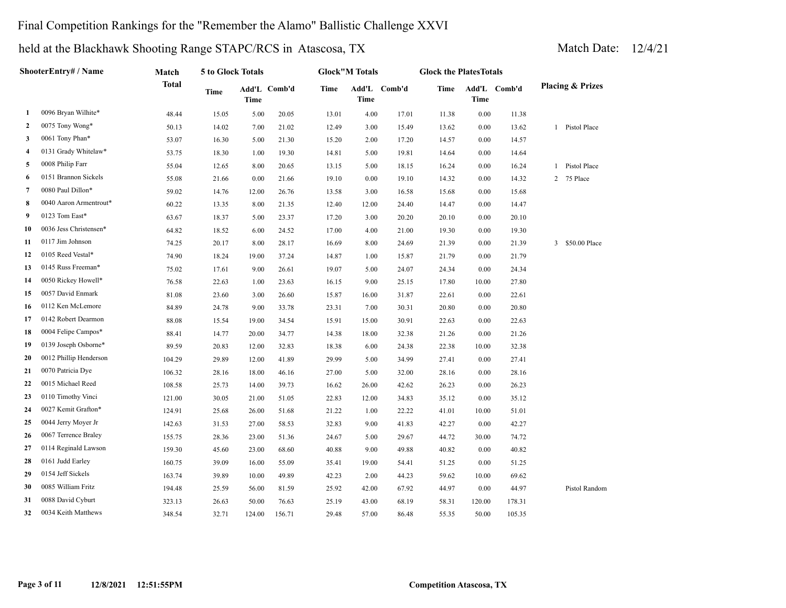## Final Competition Rankings for the "Remember the Alamo" Ballistic Challenge XXVI

|              | ShooterEntry# / Name   | Match        | 5 to Glock Totals |             |              |       | <b>Glock"M Totals</b> |              | <b>Glock the PlatesTotals</b> |          |              |                              |
|--------------|------------------------|--------------|-------------------|-------------|--------------|-------|-----------------------|--------------|-------------------------------|----------|--------------|------------------------------|
|              |                        | <b>Total</b> | Time              | <b>Time</b> | Add'L Comb'd | Time  | <b>Time</b>           | Add'L Comb'd | Time                          | Time     | Add'L Comb'd | <b>Placing &amp; Prizes</b>  |
| 1            | 0096 Bryan Wilhite*    | 48.44        | 15.05             | 5.00        | 20.05        | 13.01 | 4.00                  | 17.01        | 11.38                         | $0.00\,$ | 11.38        |                              |
| $\mathbf{2}$ | 0075 Tony Wong*        | 50.13        | 14.02             | 7.00        | 21.02        | 12.49 | 3.00                  | 15.49        | 13.62                         | 0.00     | 13.62        | 1 Pistol Place               |
| 3            | 0061 Tony Phan*        | 53.07        | 16.30             | 5.00        | 21.30        | 15.20 | 2.00                  | 17.20        | 14.57                         | 0.00     | 14.57        |                              |
| 4            | 0131 Grady Whitelaw*   | 53.75        | 18.30             | 1.00        | 19.30        | 14.81 | 5.00                  | 19.81        | 14.64                         | 0.00     | 14.64        |                              |
| 5            | 0008 Philip Farr       | 55.04        | 12.65             | 8.00        | 20.65        | 13.15 | 5.00                  | 18.15        | 16.24                         | 0.00     | 16.24        | Pistol Place<br>$\mathbf{1}$ |
| 6            | 0151 Brannon Sickels   | 55.08        | 21.66             | 0.00        | 21.66        | 19.10 | 0.00                  | 19.10        | 14.32                         | 0.00     | 14.32        | 75 Place<br>2                |
| 7            | 0080 Paul Dillon*      | 59.02        | 14.76             | 12.00       | 26.76        | 13.58 | 3.00                  | 16.58        | 15.68                         | 0.00     | 15.68        |                              |
| 8            | 0040 Aaron Armentrout* | 60.22        | 13.35             | 8.00        | 21.35        | 12.40 | 12.00                 | 24.40        | 14.47                         | 0.00     | 14.47        |                              |
| 9            | 0123 Tom East*         | 63.67        | 18.37             | 5.00        | 23.37        | 17.20 | 3.00                  | 20.20        | 20.10                         | 0.00     | 20.10        |                              |
| 10           | 0036 Jess Christensen* | 64.82        | 18.52             | 6.00        | 24.52        | 17.00 | 4.00                  | 21.00        | 19.30                         | 0.00     | 19.30        |                              |
| 11           | 0117 Jim Johnson       | 74.25        | 20.17             | 8.00        | 28.17        | 16.69 | 8.00                  | 24.69        | 21.39                         | 0.00     | 21.39        | \$50.00 Place<br>3           |
| 12           | 0105 Reed Vestal*      | 74.90        | 18.24             | 19.00       | 37.24        | 14.87 | 1.00                  | 15.87        | 21.79                         | 0.00     | 21.79        |                              |
| 13           | 0145 Russ Freeman*     | 75.02        | 17.61             | 9.00        | 26.61        | 19.07 | 5.00                  | 24.07        | 24.34                         | 0.00     | 24.34        |                              |
| 14           | 0050 Rickey Howell*    | 76.58        | 22.63             | 1.00        | 23.63        | 16.15 | 9.00                  | 25.15        | 17.80                         | 10.00    | 27.80        |                              |
| 15           | 0057 David Enmark      | 81.08        | 23.60             | 3.00        | 26.60        | 15.87 | 16.00                 | 31.87        | 22.61                         | 0.00     | 22.61        |                              |
| 16           | 0112 Ken McLemore      | 84.89        | 24.78             | 9.00        | 33.78        | 23.31 | 7.00                  | 30.31        | 20.80                         | 0.00     | 20.80        |                              |
| 17           | 0142 Robert Dearmon    | 88.08        | 15.54             | 19.00       | 34.54        | 15.91 | 15.00                 | 30.91        | 22.63                         | 0.00     | 22.63        |                              |
| 18           | 0004 Felipe Campos*    | 88.41        | 14.77             | 20.00       | 34.77        | 14.38 | 18.00                 | 32.38        | 21.26                         | 0.00     | 21.26        |                              |
| 19           | 0139 Joseph Osborne*   | 89.59        | 20.83             | 12.00       | 32.83        | 18.38 | 6.00                  | 24.38        | 22.38                         | 10.00    | 32.38        |                              |
| 20           | 0012 Phillip Henderson | 104.29       | 29.89             | 12.00       | 41.89        | 29.99 | 5.00                  | 34.99        | 27.41                         | 0.00     | 27.41        |                              |
| 21           | 0070 Patricia Dye      | 106.32       | 28.16             | 18.00       | 46.16        | 27.00 | 5.00                  | 32.00        | 28.16                         | 0.00     | 28.16        |                              |
| 22           | 0015 Michael Reed      | 108.58       | 25.73             | 14.00       | 39.73        | 16.62 | 26.00                 | 42.62        | 26.23                         | 0.00     | 26.23        |                              |
| 23           | 0110 Timothy Vinci     | 121.00       | 30.05             | 21.00       | 51.05        | 22.83 | 12.00                 | 34.83        | 35.12                         | 0.00     | 35.12        |                              |
| 24           | 0027 Kemit Grafton*    | 124.91       | 25.68             | 26.00       | 51.68        | 21.22 | 1.00                  | 22.22        | 41.01                         | 10.00    | 51.01        |                              |
| 25           | 0044 Jerry Moyer Jr    | 142.63       | 31.53             | 27.00       | 58.53        | 32.83 | 9.00                  | 41.83        | 42.27                         | 0.00     | 42.27        |                              |
| 26           | 0067 Terrence Braley   | 155.75       | 28.36             | 23.00       | 51.36        | 24.67 | 5.00                  | 29.67        | 44.72                         | 30.00    | 74.72        |                              |
| 27           | 0114 Reginald Lawson   | 159.30       | 45.60             | 23.00       | 68.60        | 40.88 | 9.00                  | 49.88        | 40.82                         | 0.00     | 40.82        |                              |
| 28           | 0161 Judd Earley       | 160.75       | 39.09             | 16.00       | 55.09        | 35.41 | 19.00                 | 54.41        | 51.25                         | 0.00     | 51.25        |                              |
| 29           | 0154 Jeff Sickels      | 163.74       | 39.89             | 10.00       | 49.89        | 42.23 | 2.00                  | 44.23        | 59.62                         | 10.00    | 69.62        |                              |
| 30           | 0085 William Fritz     | 194.48       | 25.59             | 56.00       | 81.59        | 25.92 | 42.00                 | 67.92        | 44.97                         | 0.00     | 44.97        | Pistol Random                |
| 31           | 0088 David Cyburt      | 323.13       | 26.63             | 50.00       | 76.63        | 25.19 | 43.00                 | 68.19        | 58.31                         | 120.00   | 178.31       |                              |
| 32           | 0034 Keith Matthews    | 348.54       | 32.71             | 124.00      | 156.71       | 29.48 | 57.00                 | 86.48        | 55.35                         | 50.00    | 105.35       |                              |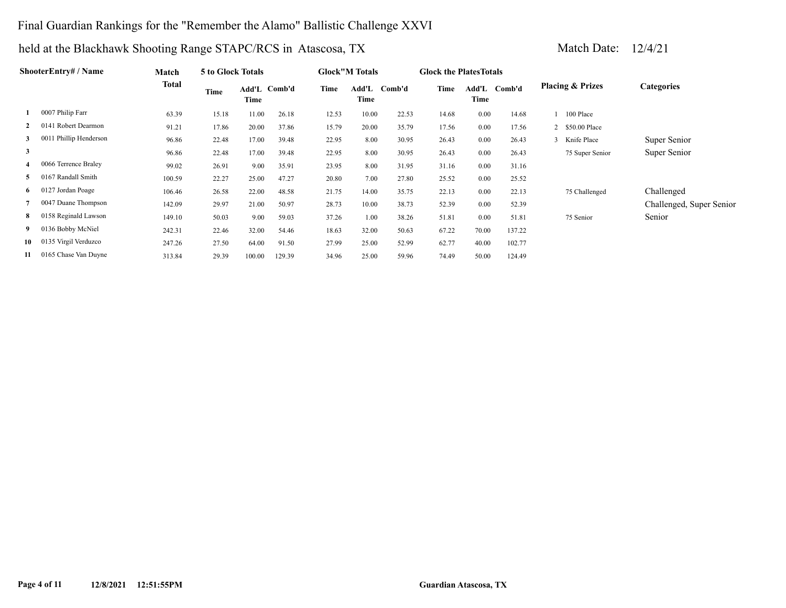## Final Guardian Rankings for the "Remember the Alamo" Ballistic Challenge XXVI

|    | ShooterEntry# / Name   | Match        | 5 to Glock Totals |        |              |       | <b>Glock</b> "M Totals |        | <b>Glock the Plates Totals</b> |       |              |                             |                          |
|----|------------------------|--------------|-------------------|--------|--------------|-------|------------------------|--------|--------------------------------|-------|--------------|-----------------------------|--------------------------|
|    |                        | <b>Total</b> | Time              | Time   | Add'L Comb'd | Time  | Add'L<br>Time          | Comb'd | Time                           | Time  | Add'L Comb'd | <b>Placing &amp; Prizes</b> | <b>Categories</b>        |
|    | 0007 Philip Farr       | 63.39        | 15.18             | 11.00  | 26.18        | 12.53 | 10.00                  | 22.53  | 14.68                          | 0.00  | 14.68        | 100 Place                   |                          |
|    | 0141 Robert Dearmon    | 91.21        | 17.86             | 20.00  | 37.86        | 15.79 | 20.00                  | 35.79  | 17.56                          | 0.00  | 17.56        | 2 \$50.00 Place             |                          |
| 3  | 0011 Phillip Henderson | 96.86        | 22.48             | 17.00  | 39.48        | 22.95 | 8.00                   | 30.95  | 26.43                          | 0.00  | 26.43        | 3 Knife Place               | Super Senior             |
| 3  |                        | 96.86        | 22.48             | 17.00  | 39.48        | 22.95 | 8.00                   | 30.95  | 26.43                          | 0.00  | 26.43        | 75 Super Senior             | Super Senior             |
| 4  | 0066 Terrence Braley   | 99.02        | 26.91             | 9.00   | 35.91        | 23.95 | 8.00                   | 31.95  | 31.16                          | 0.00  | 31.16        |                             |                          |
| 5  | 0167 Randall Smith     | 100.59       | 22.27             | 25.00  | 47.27        | 20.80 | 7.00                   | 27.80  | 25.52                          | 0.00  | 25.52        |                             |                          |
|    | 6 0127 Jordan Poage    | 106.46       | 26.58             | 22.00  | 48.58        | 21.75 | 14.00                  | 35.75  | 22.13                          | 0.00  | 22.13        | 75 Challenged               | Challenged               |
|    | 0047 Duane Thompson    | 142.09       | 29.97             | 21.00  | 50.97        | 28.73 | 10.00                  | 38.73  | 52.39                          | 0.00  | 52.39        |                             | Challenged, Super Senior |
| 8  | 0158 Reginald Lawson   | 149.10       | 50.03             | 9.00   | 59.03        | 37.26 | 1.00                   | 38.26  | 51.81                          | 0.00  | 51.81        | 75 Senior                   | Senior                   |
| 9  | 0136 Bobby McNiel      | 242.31       | 22.46             | 32.00  | 54.46        | 18.63 | 32.00                  | 50.63  | 67.22                          | 70.00 | 137.22       |                             |                          |
| 10 | 0135 Virgil Verduzco   | 247.26       | 27.50             | 64.00  | 91.50        | 27.99 | 25.00                  | 52.99  | 62.77                          | 40.00 | 102.77       |                             |                          |
| 11 | 0165 Chase Van Duyne   | 313.84       | 29.39             | 100.00 | 129.39       | 34.96 | 25.00                  | 59.96  | 74.49                          | 50.00 | 124.49       |                             |                          |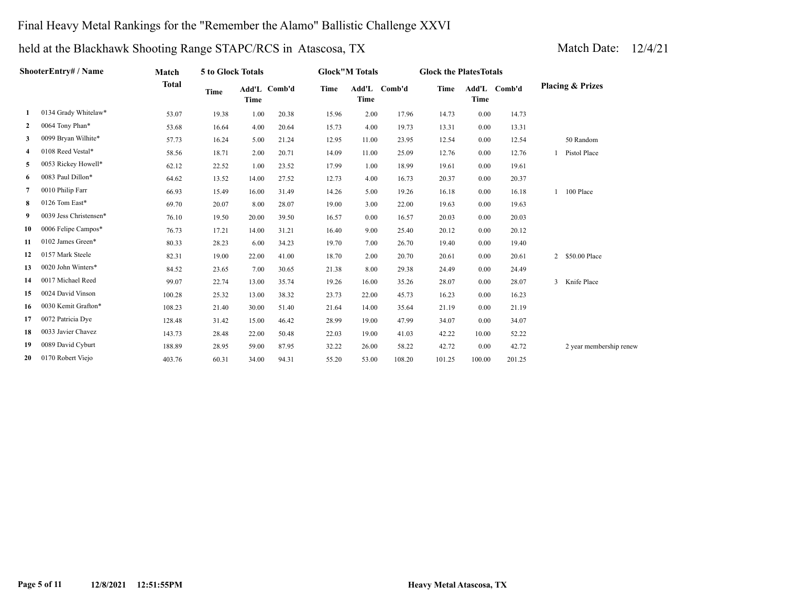## Final Heavy Metal Rankings for the "Remember the Alamo" Ballistic Challenge XXVI

|    | ShooterEntry# / Name   | Match        | 5 to Glock Totals |             |              |       | <b>Glock</b> "M Totals |              | <b>Glock the Plates Totals</b> |             |              |                             |
|----|------------------------|--------------|-------------------|-------------|--------------|-------|------------------------|--------------|--------------------------------|-------------|--------------|-----------------------------|
|    |                        | <b>Total</b> | <b>Time</b>       | <b>Time</b> | Add'L Comb'd | Time  | <b>Time</b>            | Add'L Comb'd | Time                           | <b>Time</b> | Add'L Comb'd | <b>Placing &amp; Prizes</b> |
| 1  | 0134 Grady Whitelaw*   | 53.07        | 19.38             | 1.00        | 20.38        | 15.96 | 2.00                   | 17.96        | 14.73                          | 0.00        | 14.73        |                             |
| 2  | 0064 Tony Phan*        | 53.68        | 16.64             | 4.00        | 20.64        | 15.73 | 4.00                   | 19.73        | 13.31                          | 0.00        | 13.31        |                             |
| 3  | 0099 Bryan Wilhite*    | 57.73        | 16.24             | 5.00        | 21.24        | 12.95 | 11.00                  | 23.95        | 12.54                          | 0.00        | 12.54        | 50 Random                   |
| 4  | 0108 Reed Vestal*      | 58.56        | 18.71             | 2.00        | 20.71        | 14.09 | 11.00                  | 25.09        | 12.76                          | 0.00        | 12.76        | Pistol Place                |
| 5  | 0053 Rickey Howell*    | 62.12        | 22.52             | 1.00        | 23.52        | 17.99 | 1.00                   | 18.99        | 19.61                          | 0.00        | 19.61        |                             |
| 6  | 0083 Paul Dillon*      | 64.62        | 13.52             | 14.00       | 27.52        | 12.73 | 4.00                   | 16.73        | 20.37                          | 0.00        | 20.37        |                             |
| 7  | 0010 Philip Farr       | 66.93        | 15.49             | 16.00       | 31.49        | 14.26 | 5.00                   | 19.26        | 16.18                          | 0.00        | 16.18        | 100 Place                   |
| 8  | 0126 Tom East*         | 69.70        | 20.07             | 8.00        | 28.07        | 19.00 | 3.00                   | 22.00        | 19.63                          | 0.00        | 19.63        |                             |
| 9  | 0039 Jess Christensen* | 76.10        | 19.50             | 20.00       | 39.50        | 16.57 | 0.00                   | 16.57        | 20.03                          | 0.00        | 20.03        |                             |
| 10 | 0006 Felipe Campos*    | 76.73        | 17.21             | 14.00       | 31.21        | 16.40 | 9.00                   | 25.40        | 20.12                          | 0.00        | 20.12        |                             |
| 11 | 0102 James Green*      | 80.33        | 28.23             | 6.00        | 34.23        | 19.70 | 7.00                   | 26.70        | 19.40                          | 0.00        | 19.40        |                             |
| 12 | 0157 Mark Steele       | 82.31        | 19.00             | 22.00       | 41.00        | 18.70 | 2.00                   | 20.70        | 20.61                          | 0.00        | 20.61        | 2 \$50.00 Place             |
| 13 | 0020 John Winters*     | 84.52        | 23.65             | 7.00        | 30.65        | 21.38 | 8.00                   | 29.38        | 24.49                          | 0.00        | 24.49        |                             |
| 14 | 0017 Michael Reed      | 99.07        | 22.74             | 13.00       | 35.74        | 19.26 | 16.00                  | 35.26        | 28.07                          | 0.00        | 28.07        | 3 Knife Place               |
| 15 | 0024 David Vinson      | 100.28       | 25.32             | 13.00       | 38.32        | 23.73 | 22.00                  | 45.73        | 16.23                          | 0.00        | 16.23        |                             |
| 16 | 0030 Kemit Grafton*    | 108.23       | 21.40             | 30.00       | 51.40        | 21.64 | 14.00                  | 35.64        | 21.19                          | 0.00        | 21.19        |                             |
| 17 | 0072 Patricia Dye      | 128.48       | 31.42             | 15.00       | 46.42        | 28.99 | 19.00                  | 47.99        | 34.07                          | 0.00        | 34.07        |                             |
| 18 | 0033 Javier Chavez     | 143.73       | 28.48             | 22.00       | 50.48        | 22.03 | 19.00                  | 41.03        | 42.22                          | 10.00       | 52.22        |                             |
| 19 | 0089 David Cyburt      | 188.89       | 28.95             | 59.00       | 87.95        | 32.22 | 26.00                  | 58.22        | 42.72                          | 0.00        | 42.72        | 2 year membership renew     |
| 20 | 0170 Robert Viejo      | 403.76       | 60.31             | 34.00       | 94.31        | 55.20 | 53.00                  | 108.20       | 101.25                         | 100.00      | 201.25       |                             |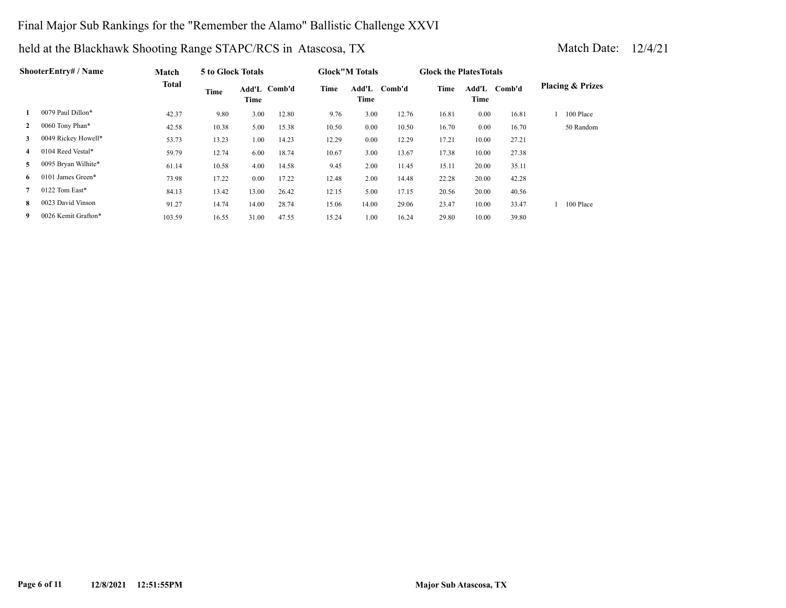## Final Major Sub Rankings for the "Remember the Alamo" Ballistic Challenge XXVI

|              | ShooterEntry# / Name | Match        | 5 to Glock Totals |                      |       |       | <b>Glock</b> "M Totals |        | <b>Glock the Plates Totals</b> |       |              |                             |
|--------------|----------------------|--------------|-------------------|----------------------|-------|-------|------------------------|--------|--------------------------------|-------|--------------|-----------------------------|
|              |                      | <b>Total</b> | Time              | Add'L Comb'd<br>Time |       | Time  | Add'L<br>Time          | Comb'd | Time                           | Time  | Add'L Comb'd | <b>Placing &amp; Prizes</b> |
|              | 0079 Paul Dillon*    | 42.37        | 9.80              | 3.00                 | 12.80 | 9.76  | 3.00                   | 12.76  | 16.81                          | 0.00  | 16.81        | 100 Place                   |
| $\mathbf{2}$ | 0060 Tony Phan*      | 42.58        | 10.38             | 5.00                 | 15.38 | 10.50 | 0.00                   | 10.50  | 16.70                          | 0.00  | 16.70        | 50 Random                   |
| 3            | 0049 Rickey Howell*  | 53.73        | 13.23             | 1.00                 | 14.23 | 12.29 | 0.00                   | 12.29  | 17.21                          | 10.00 | 27.21        |                             |
| 4            | 0104 Reed Vestal*    | 59.79        | 12.74             | 6.00                 | 18.74 | 10.67 | 3.00                   | 13.67  | 17.38                          | 10.00 | 27.38        |                             |
| 5            | 0095 Bryan Wilhite*  | 61.14        | 10.58             | 4.00                 | 14.58 | 9.45  | 2.00                   | 11.45  | 15.11                          | 20.00 | 35.11        |                             |
| 6            | 0101 James Green*    | 73.98        | 17.22             | 0.00                 | 17.22 | 12.48 | 2.00                   | 14.48  | 22.28                          | 20.00 | 42.28        |                             |
|              | 0122 Tom East*       | 84.13        | 13.42             | 13.00                | 26.42 | 12.15 | 5.00                   | 17.15  | 20.56                          | 20.00 | 40.56        |                             |
| 8            | 0023 David Vinson    | 91.27        | 14.74             | 14.00                | 28.74 | 15.06 | 14.00                  | 29.06  | 23.47                          | 10.00 | 33.47        | 100 Place                   |
| 9            | 0026 Kemit Grafton*  | 103.59       | 16.55             | 31.00                | 47.55 | 15.24 | 1.00                   | 16.24  | 29.80                          | 10.00 | 39.80        |                             |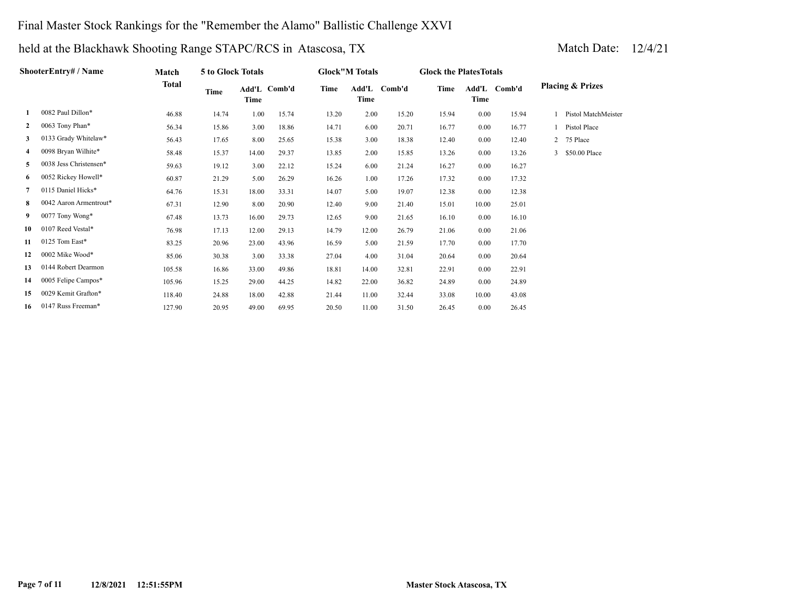## Final Master Stock Rankings for the "Remember the Alamo" Ballistic Challenge XXVI

|              | ShooterEntry# / Name   | Match        | 5 to Glock Totals |       |              |       | <b>Glock"M Totals</b> |        | <b>Glock the Plates Totals</b> |       |              |   |                             |
|--------------|------------------------|--------------|-------------------|-------|--------------|-------|-----------------------|--------|--------------------------------|-------|--------------|---|-----------------------------|
|              |                        | <b>Total</b> | <b>Time</b>       | Time  | Add'L Comb'd | Time  | Add'L<br>Time         | Comb'd | Time                           | Time  | Add'L Comb'd |   | <b>Placing &amp; Prizes</b> |
|              | 0082 Paul Dillon*      | 46.88        | 14.74             | 1.00  | 15.74        | 13.20 | 2.00                  | 15.20  | 15.94                          | 0.00  | 15.94        |   | Pistol MatchMeister         |
| $\mathbf{2}$ | 0063 Tony Phan*        | 56.34        | 15.86             | 3.00  | 18.86        | 14.71 | 6.00                  | 20.71  | 16.77                          | 0.00  | 16.77        |   | Pistol Place                |
| 3            | 0133 Grady Whitelaw*   | 56.43        | 17.65             | 8.00  | 25.65        | 15.38 | 3.00                  | 18.38  | 12.40                          | 0.00  | 12.40        | 2 | 75 Place                    |
| 4            | 0098 Bryan Wilhite*    | 58.48        | 15.37             | 14.00 | 29.37        | 13.85 | 2.00                  | 15.85  | 13.26                          | 0.00  | 13.26        |   | \$50.00 Place               |
| 5            | 0038 Jess Christensen* | 59.63        | 19.12             | 3.00  | 22.12        | 15.24 | 6.00                  | 21.24  | 16.27                          | 0.00  | 16.27        |   |                             |
| 6            | 0052 Rickey Howell*    | 60.87        | 21.29             | 5.00  | 26.29        | 16.26 | 1.00                  | 17.26  | 17.32                          | 0.00  | 17.32        |   |                             |
| 7            | 0115 Daniel Hicks*     | 64.76        | 15.31             | 18.00 | 33.31        | 14.07 | 5.00                  | 19.07  | 12.38                          | 0.00  | 12.38        |   |                             |
| 8            | 0042 Aaron Armentrout* | 67.31        | 12.90             | 8.00  | 20.90        | 12.40 | 9.00                  | 21.40  | 15.01                          | 10.00 | 25.01        |   |                             |
| 9            | 0077 Tony Wong*        | 67.48        | 13.73             | 16.00 | 29.73        | 12.65 | 9.00                  | 21.65  | 16.10                          | 0.00  | 16.10        |   |                             |
| 10           | 0107 Reed Vestal*      | 76.98        | 17.13             | 12.00 | 29.13        | 14.79 | 12.00                 | 26.79  | 21.06                          | 0.00  | 21.06        |   |                             |
| 11           | 0125 Tom East*         | 83.25        | 20.96             | 23.00 | 43.96        | 16.59 | 5.00                  | 21.59  | 17.70                          | 0.00  | 17.70        |   |                             |
| 12           | 0002 Mike Wood*        | 85.06        | 30.38             | 3.00  | 33.38        | 27.04 | 4.00                  | 31.04  | 20.64                          | 0.00  | 20.64        |   |                             |
| 13           | 0144 Robert Dearmon    | 105.58       | 16.86             | 33.00 | 49.86        | 18.81 | 14.00                 | 32.81  | 22.91                          | 0.00  | 22.91        |   |                             |
| 14           | 0005 Felipe Campos*    | 105.96       | 15.25             | 29.00 | 44.25        | 14.82 | 22.00                 | 36.82  | 24.89                          | 0.00  | 24.89        |   |                             |
| 15           | 0029 Kemit Grafton*    | 118.40       | 24.88             | 18.00 | 42.88        | 21.44 | 11.00                 | 32.44  | 33.08                          | 10.00 | 43.08        |   |                             |
| 16           | 0147 Russ Freeman*     | 127.90       | 20.95             | 49.00 | 69.95        | 20.50 | 11.00                 | 31.50  | 26.45                          | 0.00  | 26.45        |   |                             |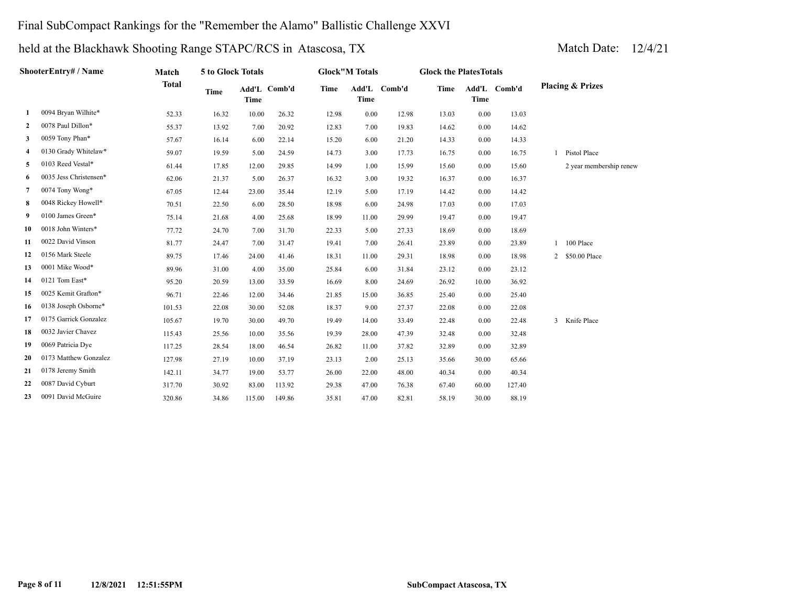## Final SubCompact Rankings for the "Remember the Alamo" Ballistic Challenge XXVI

|              | ShooterEntry# / Name   | Match        | 5 to Glock Totals |             |              |       | <b>Glock</b> "M Totals |              | <b>Glock the PlatesTotals</b> |             |              |                             |
|--------------|------------------------|--------------|-------------------|-------------|--------------|-------|------------------------|--------------|-------------------------------|-------------|--------------|-----------------------------|
|              |                        | <b>Total</b> | Time              | <b>Time</b> | Add'L Comb'd | Time  | <b>Time</b>            | Add'L Comb'd | Time                          | <b>Time</b> | Add'L Comb'd | <b>Placing &amp; Prizes</b> |
| 1            | 0094 Bryan Wilhite*    | 52.33        | 16.32             | 10.00       | 26.32        | 12.98 | 0.00                   | 12.98        | 13.03                         | 0.00        | 13.03        |                             |
| $\mathbf{2}$ | 0078 Paul Dillon*      | 55.37        | 13.92             | 7.00        | 20.92        | 12.83 | 7.00                   | 19.83        | 14.62                         | 0.00        | 14.62        |                             |
| 3            | 0059 Tony Phan*        | 57.67        | 16.14             | 6.00        | 22.14        | 15.20 | 6.00                   | 21.20        | 14.33                         | 0.00        | 14.33        |                             |
| 4            | 0130 Grady Whitelaw*   | 59.07        | 19.59             | 5.00        | 24.59        | 14.73 | 3.00                   | 17.73        | 16.75                         | 0.00        | 16.75        | Pistol Place                |
| 5            | 0103 Reed Vestal*      | 61.44        | 17.85             | 12.00       | 29.85        | 14.99 | 1.00                   | 15.99        | 15.60                         | 0.00        | 15.60        | 2 year membership renew     |
| 6            | 0035 Jess Christensen* | 62.06        | 21.37             | 5.00        | 26.37        | 16.32 | 3.00                   | 19.32        | 16.37                         | 0.00        | 16.37        |                             |
| 7            | 0074 Tony Wong*        | 67.05        | 12.44             | 23.00       | 35.44        | 12.19 | 5.00                   | 17.19        | 14.42                         | 0.00        | 14.42        |                             |
| 8            | 0048 Rickey Howell*    | 70.51        | 22.50             | 6.00        | 28.50        | 18.98 | 6.00                   | 24.98        | 17.03                         | 0.00        | 17.03        |                             |
| 9            | 0100 James Green*      | 75.14        | 21.68             | 4.00        | 25.68        | 18.99 | 11.00                  | 29.99        | 19.47                         | 0.00        | 19.47        |                             |
| 10           | 0018 John Winters*     | 77.72        | 24.70             | 7.00        | 31.70        | 22.33 | 5.00                   | 27.33        | 18.69                         | 0.00        | 18.69        |                             |
| 11           | 0022 David Vinson      | 81.77        | 24.47             | 7.00        | 31.47        | 19.41 | 7.00                   | 26.41        | 23.89                         | 0.00        | 23.89        | 1 100 Place                 |
| 12           | 0156 Mark Steele       | 89.75        | 17.46             | 24.00       | 41.46        | 18.31 | 11.00                  | 29.31        | 18.98                         | 0.00        | 18.98        | 2 \$50.00 Place             |
| 13           | 0001 Mike Wood*        | 89.96        | 31.00             | 4.00        | 35.00        | 25.84 | 6.00                   | 31.84        | 23.12                         | 0.00        | 23.12        |                             |
| 14           | 0121 Tom East*         | 95.20        | 20.59             | 13.00       | 33.59        | 16.69 | 8.00                   | 24.69        | 26.92                         | 10.00       | 36.92        |                             |
| 15           | 0025 Kemit Grafton*    | 96.71        | 22.46             | 12.00       | 34.46        | 21.85 | 15.00                  | 36.85        | 25.40                         | 0.00        | 25.40        |                             |
| 16           | 0138 Joseph Osborne*   | 101.53       | 22.08             | 30.00       | 52.08        | 18.37 | 9.00                   | 27.37        | 22.08                         | 0.00        | 22.08        |                             |
| 17           | 0175 Garrick Gonzalez  | 105.67       | 19.70             | 30.00       | 49.70        | 19.49 | 14.00                  | 33.49        | 22.48                         | 0.00        | 22.48        | 3 Knife Place               |
| 18           | 0032 Javier Chavez     | 115.43       | 25.56             | 10.00       | 35.56        | 19.39 | 28.00                  | 47.39        | 32.48                         | 0.00        | 32.48        |                             |
| 19           | 0069 Patricia Dye      | 117.25       | 28.54             | 18.00       | 46.54        | 26.82 | 11.00                  | 37.82        | 32.89                         | 0.00        | 32.89        |                             |
| 20           | 0173 Matthew Gonzalez  | 127.98       | 27.19             | 10.00       | 37.19        | 23.13 | 2.00                   | 25.13        | 35.66                         | 30.00       | 65.66        |                             |
| 21           | 0178 Jeremy Smith      | 142.11       | 34.77             | 19.00       | 53.77        | 26.00 | 22.00                  | 48.00        | 40.34                         | 0.00        | 40.34        |                             |
| 22           | 0087 David Cyburt      | 317.70       | 30.92             | 83.00       | 113.92       | 29.38 | 47.00                  | 76.38        | 67.40                         | 60.00       | 127.40       |                             |
| 23           | 0091 David McGuire     | 320.86       | 34.86             | 115.00      | 149.86       | 35.81 | 47.00                  | 82.81        | 58.19                         | 30.00       | 88.19        |                             |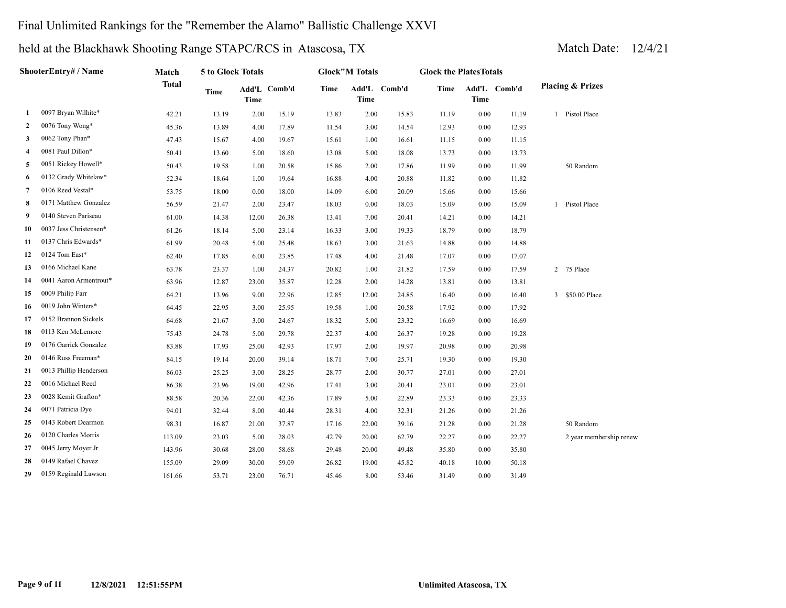## Final Unlimited Rankings for the "Remember the Alamo" Ballistic Challenge XXVI

|                | ShooterEntry# / Name   | Match        | 5 to Glock Totals |             |              |       | <b>Glock</b> "M Totals |              | <b>Glock the PlatesTotals</b> |             |              |                             |
|----------------|------------------------|--------------|-------------------|-------------|--------------|-------|------------------------|--------------|-------------------------------|-------------|--------------|-----------------------------|
|                |                        | <b>Total</b> | <b>Time</b>       | <b>Time</b> | Add'L Comb'd | Time  | <b>Time</b>            | Add'L Comb'd | Time                          | <b>Time</b> | Add'L Comb'd | <b>Placing &amp; Prizes</b> |
| $\mathbf{1}$   | 0097 Bryan Wilhite*    | 42.21        | 13.19             | 2.00        | 15.19        | 13.83 | 2.00                   | 15.83        | 11.19                         | 0.00        | 11.19        | 1 Pistol Place              |
| 2              | 0076 Tony Wong*        | 45.36        | 13.89             | 4.00        | 17.89        | 11.54 | 3.00                   | 14.54        | 12.93                         | 0.00        | 12.93        |                             |
| 3              | 0062 Tony Phan*        | 47.43        | 15.67             | 4.00        | 19.67        | 15.61 | 1.00                   | 16.61        | 11.15                         | 0.00        | 11.15        |                             |
| $\overline{4}$ | 0081 Paul Dillon*      | 50.41        | 13.60             | 5.00        | 18.60        | 13.08 | 5.00                   | 18.08        | 13.73                         | 0.00        | 13.73        |                             |
| 5              | 0051 Rickey Howell*    | 50.43        | 19.58             | 1.00        | 20.58        | 15.86 | 2.00                   | 17.86        | 11.99                         | 0.00        | 11.99        | 50 Random                   |
| 6              | 0132 Grady Whitelaw*   | 52.34        | 18.64             | 1.00        | 19.64        | 16.88 | 4.00                   | 20.88        | 11.82                         | 0.00        | 11.82        |                             |
| 7              | 0106 Reed Vestal*      | 53.75        | 18.00             | 0.00        | 18.00        | 14.09 | 6.00                   | 20.09        | 15.66                         | 0.00        | 15.66        |                             |
| 8              | 0171 Matthew Gonzalez  | 56.59        | 21.47             | 2.00        | 23.47        | 18.03 | 0.00                   | 18.03        | 15.09                         | 0.00        | 15.09        | 1 Pistol Place              |
| 9              | 0140 Steven Pariseau   | 61.00        | 14.38             | 12.00       | 26.38        | 13.41 | 7.00                   | 20.41        | 14.21                         | 0.00        | 14.21        |                             |
| 10             | 0037 Jess Christensen* | 61.26        | 18.14             | 5.00        | 23.14        | 16.33 | 3.00                   | 19.33        | 18.79                         | 0.00        | 18.79        |                             |
| 11             | 0137 Chris Edwards*    | 61.99        | 20.48             | 5.00        | 25.48        | 18.63 | 3.00                   | 21.63        | 14.88                         | $0.00\,$    | 14.88        |                             |
| 12             | 0124 Tom East*         | 62.40        | 17.85             | 6.00        | 23.85        | 17.48 | 4.00                   | 21.48        | 17.07                         | 0.00        | 17.07        |                             |
| 13             | 0166 Michael Kane      | 63.78        | 23.37             | 1.00        | 24.37        | 20.82 | 1.00                   | 21.82        | 17.59                         | 0.00        | 17.59        | 2 75 Place                  |
| 14             | 0041 Aaron Armentrout* | 63.96        | 12.87             | 23.00       | 35.87        | 12.28 | 2.00                   | 14.28        | 13.81                         | 0.00        | 13.81        |                             |
| 15             | 0009 Philip Farr       | 64.21        | 13.96             | 9.00        | 22.96        | 12.85 | 12.00                  | 24.85        | 16.40                         | 0.00        | 16.40        | 3 \$50.00 Place             |
| 16             | 0019 John Winters*     | 64.45        | 22.95             | 3.00        | 25.95        | 19.58 | 1.00                   | 20.58        | 17.92                         | 0.00        | 17.92        |                             |
| 17             | 0152 Brannon Sickels   | 64.68        | 21.67             | 3.00        | 24.67        | 18.32 | 5.00                   | 23.32        | 16.69                         | $0.00\,$    | 16.69        |                             |
| 18             | 0113 Ken McLemore      | 75.43        | 24.78             | 5.00        | 29.78        | 22.37 | 4.00                   | 26.37        | 19.28                         | 0.00        | 19.28        |                             |
| 19             | 0176 Garrick Gonzalez  | 83.88        | 17.93             | 25.00       | 42.93        | 17.97 | 2.00                   | 19.97        | 20.98                         | $0.00\,$    | 20.98        |                             |
| 20             | 0146 Russ Freeman*     | 84.15        | 19.14             | 20.00       | 39.14        | 18.71 | 7.00                   | 25.71        | 19.30                         | 0.00        | 19.30        |                             |
| 21             | 0013 Phillip Henderson | 86.03        | 25.25             | 3.00        | 28.25        | 28.77 | 2.00                   | 30.77        | 27.01                         | 0.00        | 27.01        |                             |
| 22             | 0016 Michael Reed      | 86.38        | 23.96             | 19.00       | 42.96        | 17.41 | 3.00                   | 20.41        | 23.01                         | $0.00\,$    | 23.01        |                             |
| 23             | 0028 Kemit Grafton*    | 88.58        | 20.36             | 22.00       | 42.36        | 17.89 | 5.00                   | 22.89        | 23.33                         | $0.00\,$    | 23.33        |                             |
| 24             | 0071 Patricia Dye      | 94.01        | 32.44             | 8.00        | 40.44        | 28.31 | 4.00                   | 32.31        | 21.26                         | 0.00        | 21.26        |                             |
| 25             | 0143 Robert Dearmon    | 98.31        | 16.87             | 21.00       | 37.87        | 17.16 | 22.00                  | 39.16        | 21.28                         | $0.00\,$    | 21.28        | 50 Random                   |
| 26             | 0120 Charles Morris    | 113.09       | 23.03             | 5.00        | 28.03        | 42.79 | 20.00                  | 62.79        | 22.27                         | $0.00\,$    | 22.27        | 2 year membership renew     |
| 27             | 0045 Jerry Moyer Jr    | 143.96       | 30.68             | 28.00       | 58.68        | 29.48 | 20.00                  | 49.48        | 35.80                         | 0.00        | 35.80        |                             |
| 28             | 0149 Rafael Chavez     | 155.09       | 29.09             | 30.00       | 59.09        | 26.82 | 19.00                  | 45.82        | 40.18                         | 10.00       | 50.18        |                             |
| 29             | 0159 Reginald Lawson   | 161.66       | 53.71             | 23.00       | 76.71        | 45.46 | 8.00                   | 53.46        | 31.49                         | 0.00        | 31.49        |                             |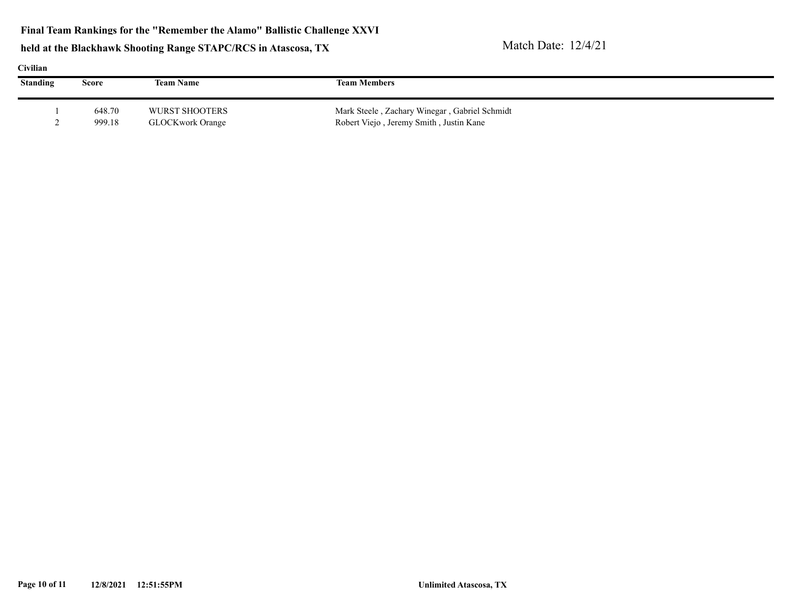**Final Team Rankings for the "Remember the Alamo" Ballistic Challenge XXVI**

|  | шя |
|--|----|
|  |    |

| Ступнан         |        |                  |                                               |  |
|-----------------|--------|------------------|-----------------------------------------------|--|
| <b>Standing</b> | Score  | <b>Team Name</b> | <b>Team Members</b>                           |  |
|                 | 648.70 | WURST SHOOTERS   | Mark Steele, Zachary Winegar, Gabriel Schmidt |  |
|                 |        |                  |                                               |  |
|                 | 999.18 | GLOCKwork Orange | Robert Viejo, Jeremy Smith, Justin Kane       |  |